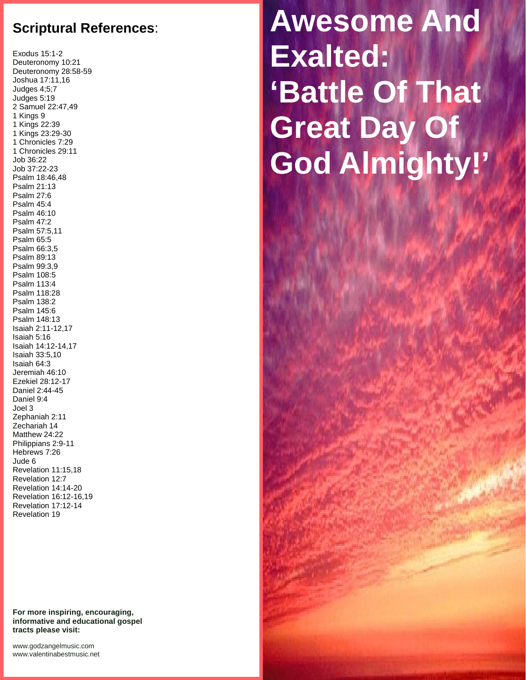## **Scriptural References**:

Exodus 15:1-2 Deuteronomy 10:21 Deuteronomy 28:58-59 Joshua 17:11,16 Judges 4;5;7 Judges 5:19 2 Samuel 22:47,49 1 Kings 9 1 Kings 22:39 1 Kings 23:29-30 1 Chronicles 7:29 1 Chronicles 29:11 Job 36:22 Job 37:22-23 Psalm 18:46,48 Psalm 21:13 Psalm 27:6 Psalm 45:4 Psalm 46:10 Psalm 47:2 Psalm 57:5,11 Psalm 65:5 Psalm 66:3,5 Psalm 89:13 Psalm 99:3,9 Psalm 108:5 Psalm 113:4 Psalm 118:28 Psalm 138:2 Psalm 145:6 Psalm 148:13 Isaiah 2:11-12,17 Isaiah 5:16 Isaiah 14:12-14,17 Isaiah 33:5,10 Isaiah 64:3 Jeremiah 46:10 Ezekiel 28:12-17 Daniel 2:44-45 Daniel 9:4 Joel 3 Zephaniah 2:11 Zechariah 14 Matthew 24:22 Philippians 2:9-11 Hebrews 7:26 Jude 6 Revelation 11:15,18 Revelation 12:7 Revelation 14:14-20 Revelation 16:12-16,19 Revelation 17:12-14 Revelation 19

**For more inspiring, encouraging, informative and educational gospel tracts please visit:**

<www.godzangelmusic.com> <www.valentinabestmusic.net>

## **Awesome And Exalted: 'Battle Of That Great Day Of God Almighty!'**